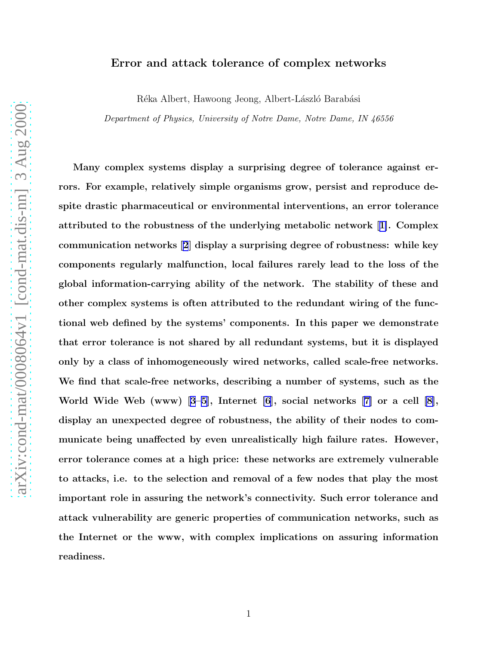# arXiv:cond-mat/0008064v1 [cond-mat.dis-nn] 3 Aug 2000 [arXiv:cond-mat/0008064v1 \[cond-mat.dis-nn\] 3 Aug 2000](http://arXiv.org/abs/cond-mat/0008064v1)

# Error and attack tolerance of complex networks

Réka Albert, Hawoong Jeong, Albert-László Barabási

Department of Physics, University of Notre Dame, Notre Dame, IN 46556

Many complex systems display a surprising degree of tolerance against errors. For example, relatively simple organisms grow, persist and reproduce despite drastic pharmaceutical or environmental interventions, an error tolerance attributed to the robustness of the underlying metabolic network[[1\]](#page-7-0). Complex communication networks[[2](#page-7-0)] display a surprising degree of robustness: while key components regularly malfunction, local failures rarely lead to the loss of the global information-carrying ability of the network. The stability of these and other complex systems is often attributed to the redundant wiring of the functional web defined by the systems' components. In this paper we demonstrate that error tolerance is not shared by all redundant systems, but it is displayed only by a class of inhomogeneously wired networks, called scale-free networks. We find that scale-free networks, describing a number of systems, such as the World Wide Web (www)[[3–5\]](#page-7-0), Internet [\[6](#page-7-0)], social networks [\[7\]](#page-7-0) or a cell [\[8\]](#page-7-0), display an unexpected degree of robustness, the ability of their nodes to communicate being unaffected by even unrealistically high failure rates. However, error tolerance comes at a high price: these networks are extremely vulnerable to attacks, i.e. to the selection and removal of a few nodes that play the most important role in assuring the network's connectivity. Such error tolerance and attack vulnerability are generic properties of communication networks, such as the Internet or the www, with complex implications on assuring information readiness.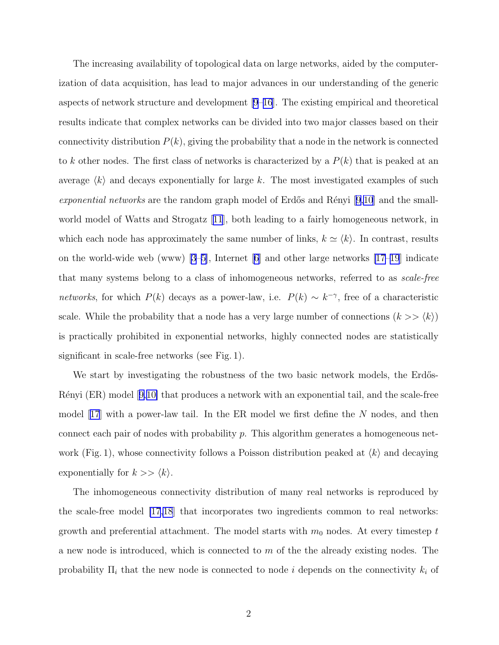The increasing availability of topological data on large networks, aided by the computerization of data acquisition, has lead to major advances in our understanding of the generic aspects of network structure and development [\[9–](#page-7-0)[16](#page-8-0)]. The existing empirical and theoretical results indicate that complex networks can be divided into two major classes based on their connectivity distribution  $P(k)$ , giving the probability that a node in the network is connected to k other nodes. The first class of networks is characterized by a  $P(k)$  that is peaked at an average  $\langle k \rangle$  and decays exponentially for large k. The most investigated examples of such *exponential networks* are the random graph model of Erdős and Rényi [\[9,10](#page-7-0)] and the smallworld model of Watts and Strogatz[[11](#page-7-0)], both leading to a fairly homogeneous network, in which each node has approximately the same number of links,  $k \simeq \langle k \rangle$ . In contrast, results on the world-wide web (www) [\[3–5\]](#page-7-0), Internet [\[6\]](#page-7-0) and other large networks [\[17–19](#page-8-0)] indicate that many systems belong to a class of inhomogeneous networks, referred to as *scale-free networks*, for which  $P(k)$  decays as a power-law, i.e.  $P(k) \sim k^{-\gamma}$ , free of a characteristic scale. While the probability that a node has a very large number of connections  $(k \gt \langle k \rangle)$ is practically prohibited in exponential networks, highly connected nodes are statistically significant in scale-free networks (see Fig. 1).

We start by investigating the robustness of the two basic network models, the Erdős-Rényi(ER) model [[9,10\]](#page-7-0) that produces a network with an exponential tail, and the scale-free model $|17|$  $|17|$  $|17|$  with a power-law tail. In the ER model we first define the N nodes, and then connect each pair of nodes with probability p. This algorithm generates a homogeneous network (Fig. 1), whose connectivity follows a Poisson distribution peaked at  $\langle k \rangle$  and decaying exponentially for  $k \gg \langle k \rangle$ .

The inhomogeneous connectivity distribution of many real networks is reproduced by the scale-free model [\[17,18](#page-8-0)] that incorporates two ingredients common to real networks: growth and preferential attachment. The model starts with  $m_0$  nodes. At every timestep  $t$ a new node is introduced, which is connected to  $m$  of the the already existing nodes. The probability  $\Pi_i$  that the new node is connected to node i depends on the connectivity  $k_i$  of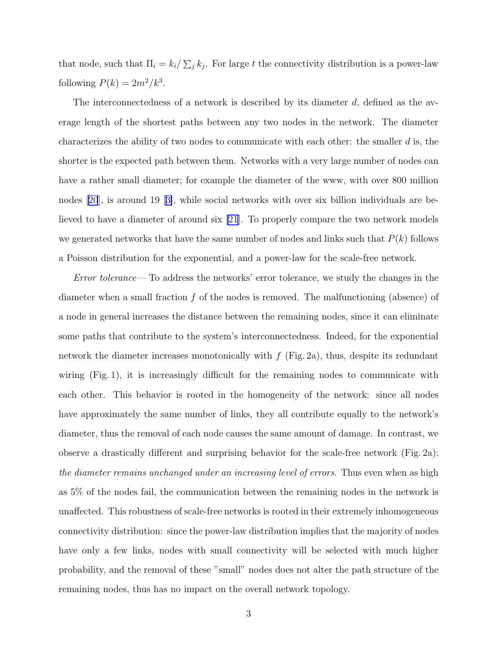that node, such that  $\Pi_i = k_i / \sum_j k_j$ . For large t the connectivity distribution is a power-law following  $P(k) = 2m^2/k^3$ .

The interconnectedness of a network is described by its diameter  $d$ , defined as the average length of the shortest paths between any two nodes in the network. The diameter characterizes the ability of two nodes to communicate with each other: the smaller  $d$  is, the shorter is the expected path between them. Networks with a very large number of nodes can have a rather small diameter; for example the diameter of the www, with over 800 million nodes[[20](#page-8-0)], is around 19[[3\]](#page-7-0), while social networks with over six billion individuals are believed to have a diameter of around six [\[21](#page-8-0)]. To properly compare the two network models we generated networks that have the same number of nodes and links such that  $P(k)$  follows a Poisson distribution for the exponential, and a power-law for the scale-free network.

*Error tolerance—* To address the networks' error tolerance, we study the changes in the diameter when a small fraction  $f$  of the nodes is removed. The malfunctioning (absence) of a node in general increases the distance between the remaining nodes, since it can eliminate some paths that contribute to the system's interconnectedness. Indeed, for the exponential network the diameter increases monotonically with  $f$  (Fig. 2a), thus, despite its redundant wiring (Fig. 1), it is increasingly difficult for the remaining nodes to communicate with each other. This behavior is rooted in the homogeneity of the network: since all nodes have approximately the same number of links, they all contribute equally to the network's diameter, thus the removal of each node causes the same amount of damage. In contrast, we observe a drastically different and surprising behavior for the scale-free network (Fig. 2a): *the diameter remains unchanged under an increasing level of errors*. Thus even when as high as 5% of the nodes fail, the communication between the remaining nodes in the network is unaffected. This robustness of scale-free networks is rooted in their extremely inhomogeneous connectivity distribution: since the power-law distribution implies that the majority of nodes have only a few links, nodes with small connectivity will be selected with much higher probability, and the removal of these "small" nodes does not alter the path structure of the remaining nodes, thus has no impact on the overall network topology.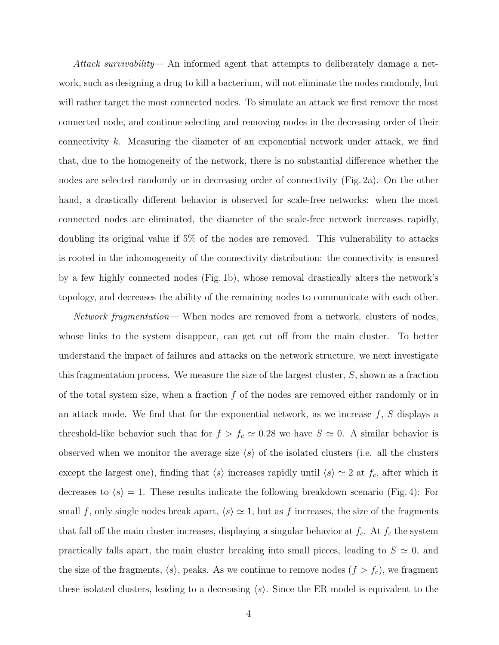*Attack survivability—* An informed agent that attempts to deliberately damage a network, such as designing a drug to kill a bacterium, will not eliminate the nodes randomly, but will rather target the most connected nodes. To simulate an attack we first remove the most connected node, and continue selecting and removing nodes in the decreasing order of their connectivity k. Measuring the diameter of an exponential network under attack, we find that, due to the homogeneity of the network, there is no substantial difference whether the nodes are selected randomly or in decreasing order of connectivity (Fig. 2a). On the other hand, a drastically different behavior is observed for scale-free networks: when the most connected nodes are eliminated, the diameter of the scale-free network increases rapidly, doubling its original value if 5% of the nodes are removed. This vulnerability to attacks is rooted in the inhomogeneity of the connectivity distribution: the connectivity is ensured by a few highly connected nodes (Fig. 1b), whose removal drastically alters the network's topology, and decreases the ability of the remaining nodes to communicate with each other.

*Network fragmentation—* When nodes are removed from a network, clusters of nodes, whose links to the system disappear, can get cut off from the main cluster. To better understand the impact of failures and attacks on the network structure, we next investigate this fragmentation process. We measure the size of the largest cluster, S, shown as a fraction of the total system size, when a fraction  $f$  of the nodes are removed either randomly or in an attack mode. We find that for the exponential network, as we increase  $f$ ,  $S$  displays a threshold-like behavior such that for  $f > f_c \simeq 0.28$  we have  $S \simeq 0$ . A similar behavior is observed when we monitor the average size  $\langle s \rangle$  of the isolated clusters (i.e. all the clusters except the largest one), finding that  $\langle s \rangle$  increases rapidly until  $\langle s \rangle \simeq 2$  at  $f_c$ , after which it decreases to  $\langle s \rangle = 1$ . These results indicate the following breakdown scenario (Fig. 4): For small f, only single nodes break apart,  $\langle s \rangle \simeq 1$ , but as f increases, the size of the fragments that fall off the main cluster increases, displaying a singular behavior at  $f_c$ . At  $f_c$  the system practically falls apart, the main cluster breaking into small pieces, leading to  $S \simeq 0$ , and the size of the fragments,  $\langle s \rangle$ , peaks. As we continue to remove nodes  $(f > f_c)$ , we fragment these isolated clusters, leading to a decreasing  $\langle s \rangle$ . Since the ER model is equivalent to the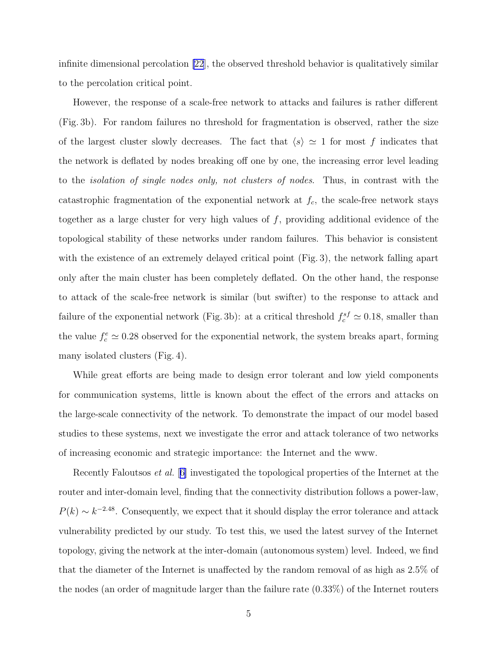infinite dimensional percolation [\[22](#page-8-0)], the observed threshold behavior is qualitatively similar to the percolation critical point.

However, the response of a scale-free network to attacks and failures is rather different (Fig. 3b). For random failures no threshold for fragmentation is observed, rather the size of the largest cluster slowly decreases. The fact that  $\langle s \rangle \simeq 1$  for most f indicates that the network is deflated by nodes breaking off one by one, the increasing error level leading to the *isolation of single nodes only, not clusters of nodes*. Thus, in contrast with the catastrophic fragmentation of the exponential network at  $f_c$ , the scale-free network stays together as a large cluster for very high values of  $f$ , providing additional evidence of the topological stability of these networks under random failures. This behavior is consistent with the existence of an extremely delayed critical point (Fig. 3), the network falling apart only after the main cluster has been completely deflated. On the other hand, the response to attack of the scale-free network is similar (but swifter) to the response to attack and failure of the exponential network (Fig. 3b): at a critical threshold  $f_c^{sf} \simeq 0.18$ , smaller than the value  $f_c^e \simeq 0.28$  observed for the exponential network, the system breaks apart, forming many isolated clusters (Fig. 4).

While great efforts are being made to design error tolerant and low yield components for communication systems, little is known about the effect of the errors and attacks on the large-scale connectivity of the network. To demonstrate the impact of our model based studies to these systems, next we investigate the error and attack tolerance of two networks of increasing economic and strategic importance: the Internet and the www.

Recently Faloutsos *et al.* [[6\]](#page-7-0) investigated the topological properties of the Internet at the router and inter-domain level, finding that the connectivity distribution follows a power-law,  $P(k) \sim k^{-2.48}$ . Consequently, we expect that it should display the error tolerance and attack vulnerability predicted by our study. To test this, we used the latest survey of the Internet topology, giving the network at the inter-domain (autonomous system) level. Indeed, we find that the diameter of the Internet is unaffected by the random removal of as high as 2.5% of the nodes (an order of magnitude larger than the failure rate (0.33%) of the Internet routers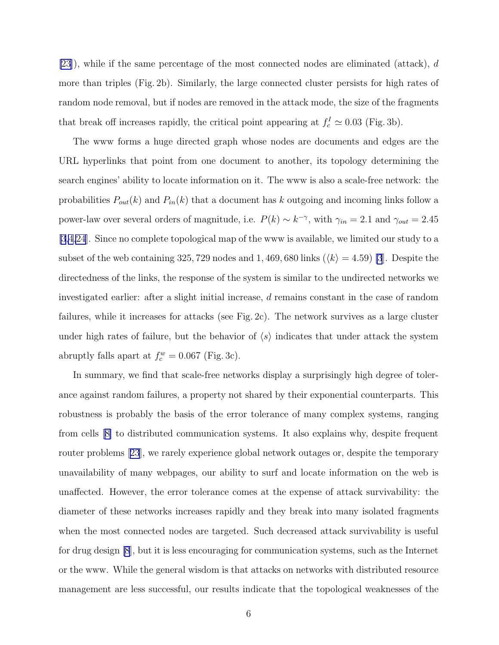[\[23](#page-8-0)]), while if the same percentage of the most connected nodes are eliminated (attack), d more than triples (Fig. 2b). Similarly, the large connected cluster persists for high rates of random node removal, but if nodes are removed in the attack mode, the size of the fragments that break off increases rapidly, the critical point appearing at  $f_c^I \simeq 0.03$  (Fig. 3b).

The www forms a huge directed graph whose nodes are documents and edges are the URL hyperlinks that point from one document to another, its topology determining the search engines' ability to locate information on it. The www is also a scale-free network: the probabilities  $P_{out}(k)$  and  $P_{in}(k)$  that a document has k outgoing and incoming links follow a power-law over several orders of magnitude, i.e.  $P(k) \sim k^{-\gamma}$ , with  $\gamma_{in} = 2.1$  and  $\gamma_{out} = 2.45$ [\[3,4](#page-7-0)[,24](#page-8-0)]. Since no complete topological map of the www is available, we limited our study to a subset of the web containing 325, 729 nodes and 1, 469, 680 links  $(\langle k \rangle = 4.59)$  [\[3](#page-7-0)]. Despite the directedness of the links, the response of the system is similar to the undirected networks we investigated earlier: after a slight initial increase, d remains constant in the case of random failures, while it increases for attacks (see Fig. 2c). The network survives as a large cluster under high rates of failure, but the behavior of  $\langle s \rangle$  indicates that under attack the system abruptly falls apart at  $f_c^w = 0.067$  (Fig. 3c).

In summary, we find that scale-free networks display a surprisingly high degree of tolerance against random failures, a property not shared by their exponential counterparts. This robustness is probably the basis of the error tolerance of many complex systems, ranging from cells[[8\]](#page-7-0) to distributed communication systems. It also explains why, despite frequent router problems[[23](#page-8-0)], we rarely experience global network outages or, despite the temporary unavailability of many webpages, our ability to surf and locate information on the web is unaffected. However, the error tolerance comes at the expense of attack survivability: the diameter of these networks increases rapidly and they break into many isolated fragments when the most connected nodes are targeted. Such decreased attack survivability is useful for drug design [\[8](#page-7-0)], but it is less encouraging for communication systems, such as the Internet or the www. While the general wisdom is that attacks on networks with distributed resource management are less successful, our results indicate that the topological weaknesses of the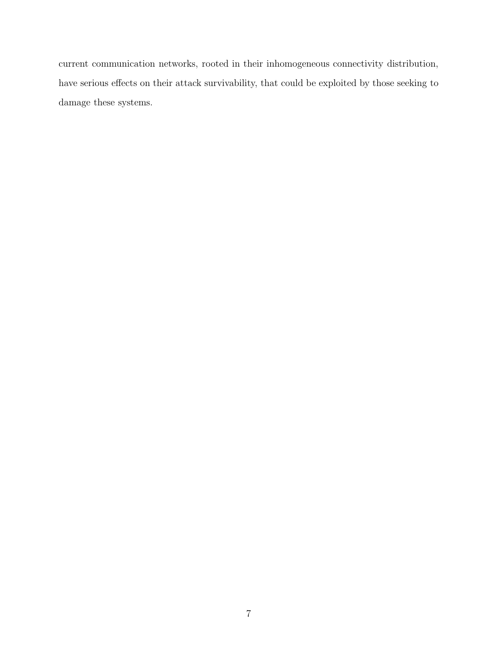current communication networks, rooted in their inhomogeneous connectivity distribution, have serious effects on their attack survivability, that could be exploited by those seeking to damage these systems.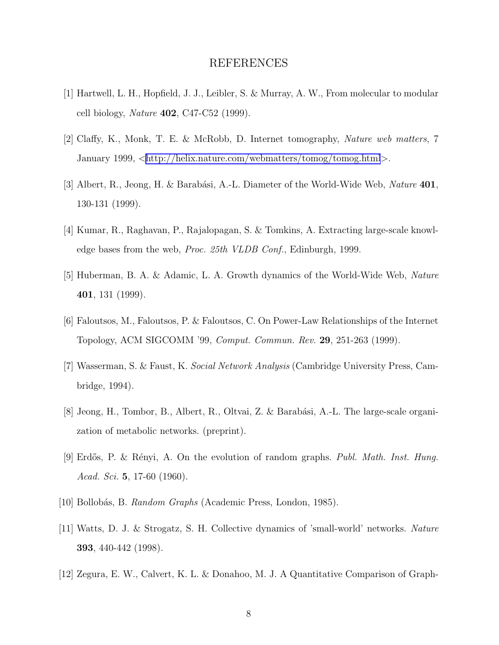## REFERENCES

- <span id="page-7-0"></span>[1] Hartwell, L. H., Hopfield, J. J., Leibler, S. & Murray, A. W., From molecular to modular cell biology, *Nature* 402, C47-C52 (1999).
- [2] Claffy, K., Monk, T. E. & McRobb, D. Internet tomography, *Nature web matters*, 7 January 1999,  $\langle \text{http://helix.nature.com/webmatters/tomog/tomog.html}\rangle$  $\langle \text{http://helix.nature.com/webmatters/tomog/tomog.html}\rangle$  $\langle \text{http://helix.nature.com/webmatters/tomog/tomog.html}\rangle$ .
- [3] Albert, R., Jeong, H. & Barab´asi, A.-L. Diameter of the World-Wide Web, *Nature* 401, 130-131 (1999).
- [4] Kumar, R., Raghavan, P., Rajalopagan, S. & Tomkins, A. Extracting large-scale knowledge bases from the web, *Proc. 25th VLDB Conf.*, Edinburgh, 1999.
- [5] Huberman, B. A. & Adamic, L. A. Growth dynamics of the World-Wide Web, *Nature* 401, 131 (1999).
- [6] Faloutsos, M., Faloutsos, P. & Faloutsos, C. On Power-Law Relationships of the Internet Topology, ACM SIGCOMM '99, *Comput. Commun. Rev.* 29, 251-263 (1999).
- [7] Wasserman, S. & Faust, K. *Social Network Analysis* (Cambridge University Press, Cambridge, 1994).
- [8] Jeong, H., Tombor, B., Albert, R., Oltvai, Z. & Barabási, A.-L. The large-scale organization of metabolic networks. (preprint).
- [9] Erd˝os, P. & R´enyi, A. On the evolution of random graphs. *Publ. Math. Inst. Hung. Acad. Sci.* 5, 17-60 (1960).
- [10] Bollob´as, B. *Random Graphs* (Academic Press, London, 1985).
- [11] Watts, D. J. & Strogatz, S. H. Collective dynamics of 'small-world' networks. *Nature* 393, 440-442 (1998).
- [12] Zegura, E. W., Calvert, K. L. & Donahoo, M. J. A Quantitative Comparison of Graph-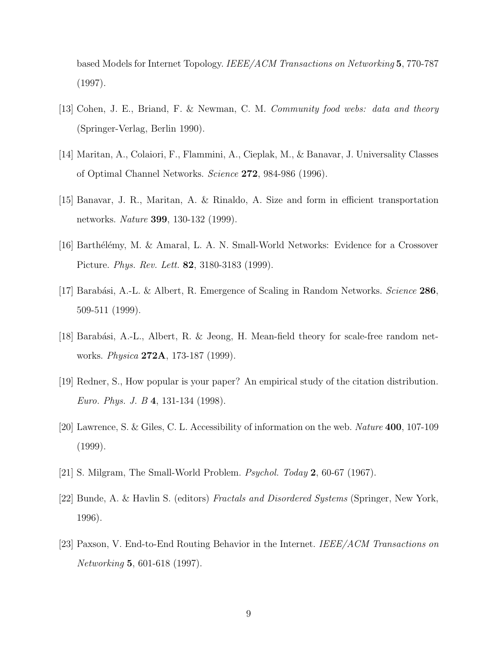<span id="page-8-0"></span>based Models for Internet Topology. *IEEE/ACM Transactions on Networking* 5, 770-787 (1997).

- [13] Cohen, J. E., Briand, F. & Newman, C. M. *Community food webs: data and theory* (Springer-Verlag, Berlin 1990).
- [14] Maritan, A., Colaiori, F., Flammini, A., Cieplak, M., & Banavar, J. Universality Classes of Optimal Channel Networks. *Science* 272, 984-986 (1996).
- [15] Banavar, J. R., Maritan, A. & Rinaldo, A. Size and form in efficient transportation networks. *Nature* 399, 130-132 (1999).
- [16] Barthélémy, M. & Amaral, L. A. N. Small-World Networks: Evidence for a Crossover Picture. *Phys. Rev. Lett.* 82, 3180-3183 (1999).
- [17] Barab´asi, A.-L. & Albert, R. Emergence of Scaling in Random Networks. *Science* 286, 509-511 (1999).
- [18] Barabási, A.-L., Albert, R. & Jeong, H. Mean-field theory for scale-free random networks. *Physica* 272A, 173-187 (1999).
- [19] Redner, S., How popular is your paper? An empirical study of the citation distribution. *Euro. Phys. J. B* 4, 131-134 (1998).
- [20] Lawrence, S. & Giles, C. L. Accessibility of information on the web. *Nature* 400, 107-109 (1999).
- [21] S. Milgram, The Small-World Problem. *Psychol. Today* 2, 60-67 (1967).
- [22] Bunde, A. & Havlin S. (editors) *Fractals and Disordered Systems* (Springer, New York, 1996).
- [23] Paxson, V. End-to-End Routing Behavior in the Internet. *IEEE/ACM Transactions on Networking* 5, 601-618 (1997).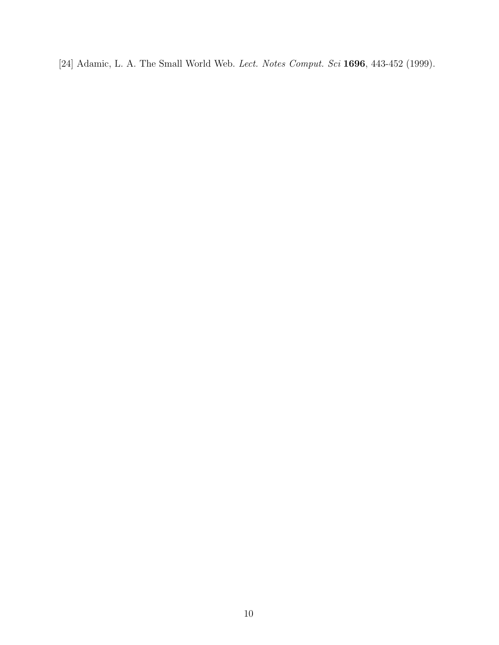[24] Adamic, L. A. The Small World Web. *Lect. Notes Comput. Sci* 1696, 443-452 (1999).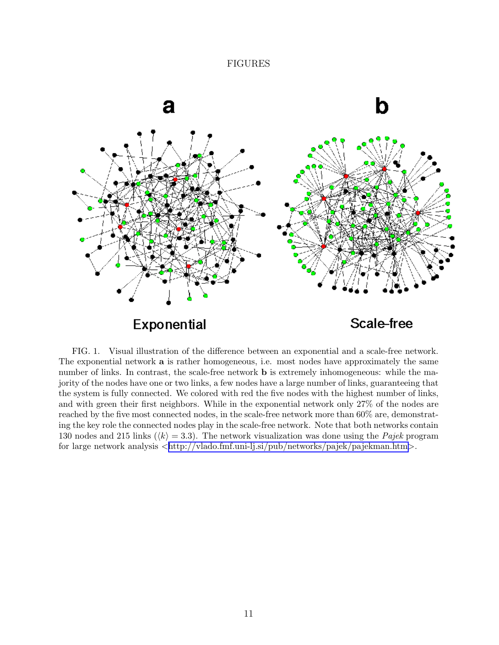### FIGURES



FIG. 1. Visual illustration of the difference between an exponential and a scale-free network. The exponential network  $a$  is rather homogeneous, i.e. most nodes have approximately the same number of links. In contrast, the scale-free network **b** is extremely inhomogeneous: while the majority of the nodes have one or two links, a few nodes have a large number of links, guaranteeing that the system is fully connected. We colored with red the five nodes with the highest number of links, and with green their first neighbors. While in the exponential network only 27% of the nodes are reached by the five most connected nodes, in the scale-free network more than 60% are, demonstrating the key role the connected nodes play in the scale-free network. Note that both networks contain 130 nodes and 215 links ( $\langle k \rangle = 3.3$ ). The network visualization was done using the *Pajek* program for large network analysis  $\langle \text{http://vlado.fmf.uni-lj.si/pub/networks/pajek/pajekman.htm}\rangle$  $\langle \text{http://vlado.fmf.uni-lj.si/pub/networks/pajek/pajekman.htm}\rangle$  $\langle \text{http://vlado.fmf.uni-lj.si/pub/networks/pajek/pajekman.htm}\rangle$ .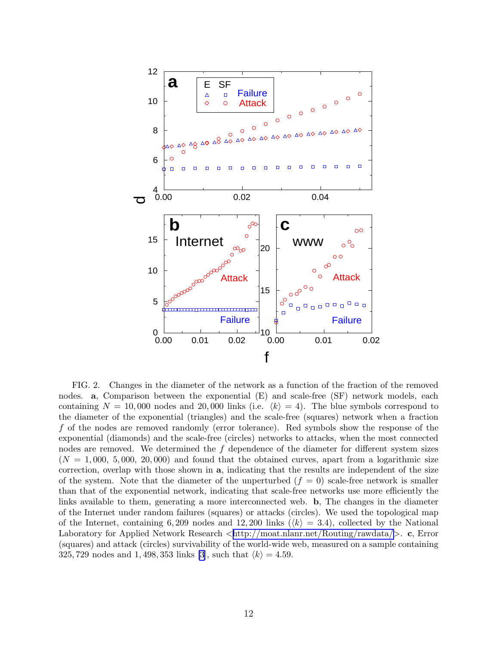

FIG. 2. Changes in the diameter of the network as a function of the fraction of the removed nodes. **a**, Comparison between the exponential (E) and scale-free (SF) network models, each containing  $N = 10,000$  nodes and 20,000 links (i.e.  $\langle k \rangle = 4$ ). The blue symbols correspond to the diameter of the exponential (triangles) and the scale-free (squares) network when a fraction f of the nodes are removed randomly (error tolerance). Red symbols show the response of the exponential (diamonds) and the scale-free (circles) networks to attacks, when the most connected nodes are removed. We determined the  $f$  dependence of the diameter for different system sizes  $(N = 1,000, 5,000, 20,000)$  and found that the obtained curves, apart from a logarithmic size correction, overlap with those shown in a, indicating that the results are independent of the size of the system. Note that the diameter of the unperturbed  $(f = 0)$  scale-free network is smaller than that of the exponential network, indicating that scale-free networks use more efficiently the links available to them, generating a more interconnected web. b, The changes in the diameter of the Internet under random failures (squares) or attacks (circles). We used the topological map of the Internet, containing 6, 209 nodes and 12, 200 links ( $\langle k \rangle = 3.4$ ), collected by the National Laboratory for Applied Network Research  $\langle \text{http://moat.nlanr.net/Routing/rawdata/>c, Error}$  $\langle \text{http://moat.nlanr.net/Routing/rawdata/>c, Error}$  $\langle \text{http://moat.nlanr.net/Routing/rawdata/>c, Error}$ (squares) and attack (circles) survivability of the world-wide web, measured on a sample containing 325, 729 nodes and 1, 498, 353 links [\[3\]](#page-7-0), such that  $\langle k \rangle = 4.59$ .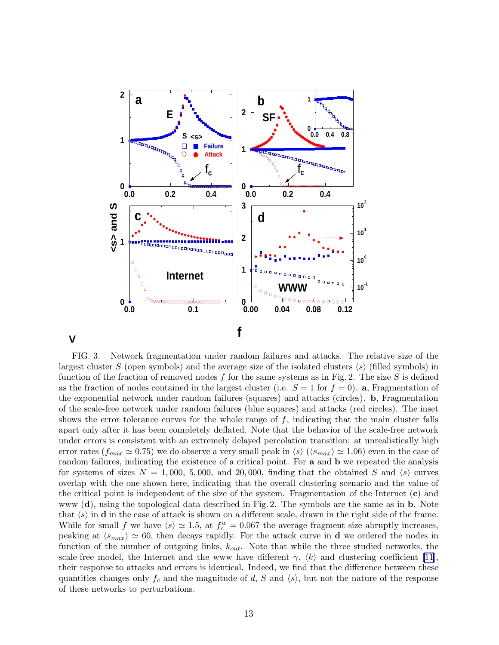

### **<**

FIG. 3. Network fragmentation under random failures and attacks. The relative size of the largest cluster S (open symbols) and the average size of the isolated clusters  $\langle s \rangle$  (filled symbols) in function of the fraction of removed nodes f for the same systems as in Fig. 2. The size S is defined as the fraction of nodes contained in the largest cluster (i.e.  $S = 1$  for  $f = 0$ ). **a**, Fragmentation of the exponential network under random failures (squares) and attacks (circles). b, Fragmentation of the scale-free network under random failures (blue squares) and attacks (red circles). The inset shows the error tolerance curves for the whole range of  $f$ , indicating that the main cluster falls apart only after it has been completely deflated. Note that the behavior of the scale-free network under errors is consistent with an extremely delayed percolation transition: at unrealistically high error rates ( $f_{max} \simeq 0.75$ ) we do observe a very small peak in  $\langle s \rangle$  ( $\langle s_{max} \rangle \simeq 1.06$ ) even in the case of random failures, indicating the existence of a critical point. For **a** and **b** we repeated the analysis for systems of sizes  $N = 1,000, 5,000,$  and 20,000, finding that the obtained S and  $\langle s \rangle$  curves overlap with the one shown here, indicating that the overall clustering scenario and the value of the critical point is independent of the size of the system. Fragmentation of the Internet  $(c)$  and www (d), using the topological data described in Fig. 2. The symbols are the same as in b. Note that  $\langle s \rangle$  in d in the case of attack is shown on a different scale, drawn in the right side of the frame. While for small f we have  $\langle s \rangle \simeq 1.5$ , at  $f_c^w = 0.067$  the average fragment size abruptly increases, peaking at  $\langle s_{max} \rangle \simeq 60$ , then decays rapidly. For the attack curve in **d** we ordered the nodes in function of the number of outgoing links,  $k_{out}$ . Note that while the three studied networks, the scale-free model, the Internet and the www have different  $\gamma$ ,  $\langle k \rangle$  and clustering coefficient [\[11](#page-7-0)], their response to attacks and errors is identical. Indeed, we find that the difference between these quantities changes only  $f_c$  and the magnitude of d, S and  $\langle s \rangle$ , but not the nature of the response of these networks to perturbations.